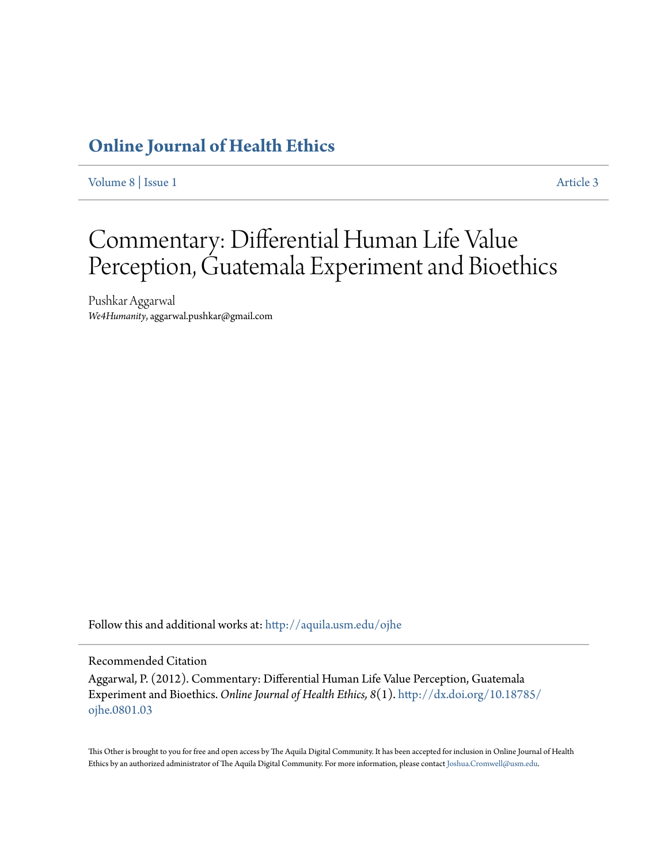### **[Online Journal of Health Ethics](http://aquila.usm.edu/ojhe?utm_source=aquila.usm.edu%2Fojhe%2Fvol8%2Fiss1%2F3&utm_medium=PDF&utm_campaign=PDFCoverPages)**

[Volume 8](http://aquila.usm.edu/ojhe/vol8?utm_source=aquila.usm.edu%2Fojhe%2Fvol8%2Fiss1%2F3&utm_medium=PDF&utm_campaign=PDFCoverPages) | [Issue 1](http://aquila.usm.edu/ojhe/vol8/iss1?utm_source=aquila.usm.edu%2Fojhe%2Fvol8%2Fiss1%2F3&utm_medium=PDF&utm_campaign=PDFCoverPages) [Article 3](http://aquila.usm.edu/ojhe/vol8/iss1/3?utm_source=aquila.usm.edu%2Fojhe%2Fvol8%2Fiss1%2F3&utm_medium=PDF&utm_campaign=PDFCoverPages)

# Commentary: Differential Human Life Value Perception, Guatemala Experiment and Bioethics

Pushkar Aggarwal *We4Humanity*, aggarwal.pushkar@gmail.com

Follow this and additional works at: [http://aquila.usm.edu/ojhe](http://aquila.usm.edu/ojhe?utm_source=aquila.usm.edu%2Fojhe%2Fvol8%2Fiss1%2F3&utm_medium=PDF&utm_campaign=PDFCoverPages)

### Recommended Citation

Aggarwal, P. (2012). Commentary: Differential Human Life Value Perception, Guatemala Experiment and Bioethics. *Online Journal of Health Ethics, 8*(1). [http://dx.doi.org/10.18785/](http://dx.doi.org/10.18785/ojhe.0801.03) [ojhe.0801.03](http://dx.doi.org/10.18785/ojhe.0801.03)

This Other is brought to you for free and open access by The Aquila Digital Community. It has been accepted for inclusion in Online Journal of Health Ethics by an authorized administrator of The Aquila Digital Community. For more information, please contact [Joshua.Cromwell@usm.edu.](mailto:Joshua.Cromwell@usm.edu)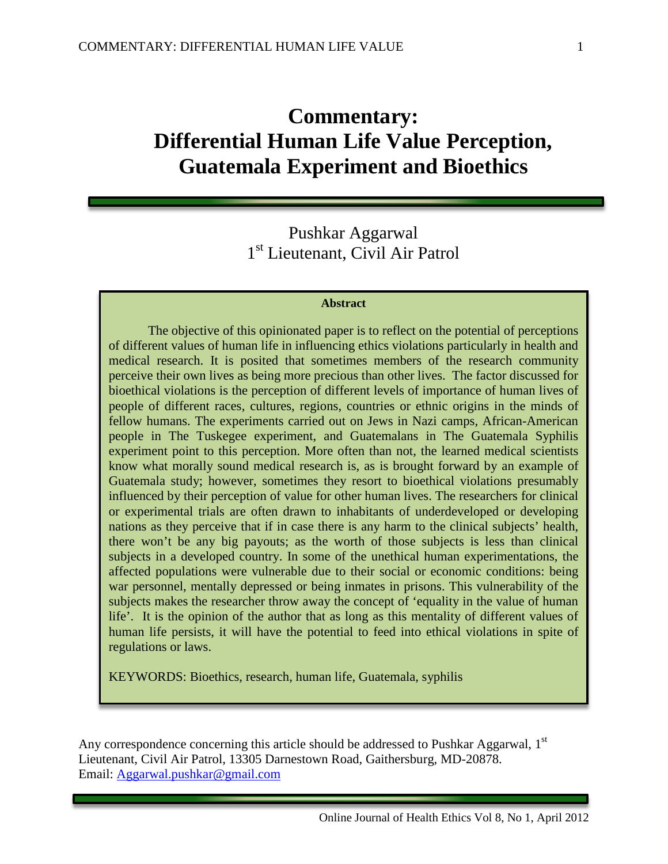## **Commentary: Differential Human Life Value Perception, Guatemala Experiment and Bioethics**

### Pushkar Aggarwal 1<sup>st</sup> Lieutenant, Civil Air Patrol

### **Abstract**

The objective of this opinionated paper is to reflect on the potential of perceptions of different values of human life in influencing ethics violations particularly in health and medical research. It is posited that sometimes members of the research community perceive their own lives as being more precious than other lives. The factor discussed for bioethical violations is the perception of different levels of importance of human lives of people of different races, cultures, regions, countries or ethnic origins in the minds of fellow humans. The experiments carried out on Jews in Nazi camps, African-American people in The Tuskegee experiment, and Guatemalans in The Guatemala Syphilis experiment point to this perception. More often than not, the learned medical scientists know what morally sound medical research is, as is brought forward by an example of Guatemala study; however, sometimes they resort to bioethical violations presumably influenced by their perception of value for other human lives. The researchers for clinical or experimental trials are often drawn to inhabitants of underdeveloped or developing nations as they perceive that if in case there is any harm to the clinical subjects' health, there won't be any big payouts; as the worth of those subjects is less than clinical subjects in a developed country. In some of the unethical human experimentations, the affected populations were vulnerable due to their social or economic conditions: being war personnel, mentally depressed or being inmates in prisons. This vulnerability of the subjects makes the researcher throw away the concept of 'equality in the value of human life'. It is the opinion of the author that as long as this mentality of different values of human life persists, it will have the potential to feed into ethical violations in spite of regulations or laws.

KEYWORDS: Bioethics, research, human life, Guatemala, syphilis

Any correspondence concerning this article should be addressed to Pushkar Aggarwal, 1<sup>st</sup> Lieutenant, Civil Air Patrol, 13305 Darnestown Road, Gaithersburg, MD-20878. Email: [Aggarwal.pushkar@gmail.com](mailto:Aggarwal.pushkar@gmail.com)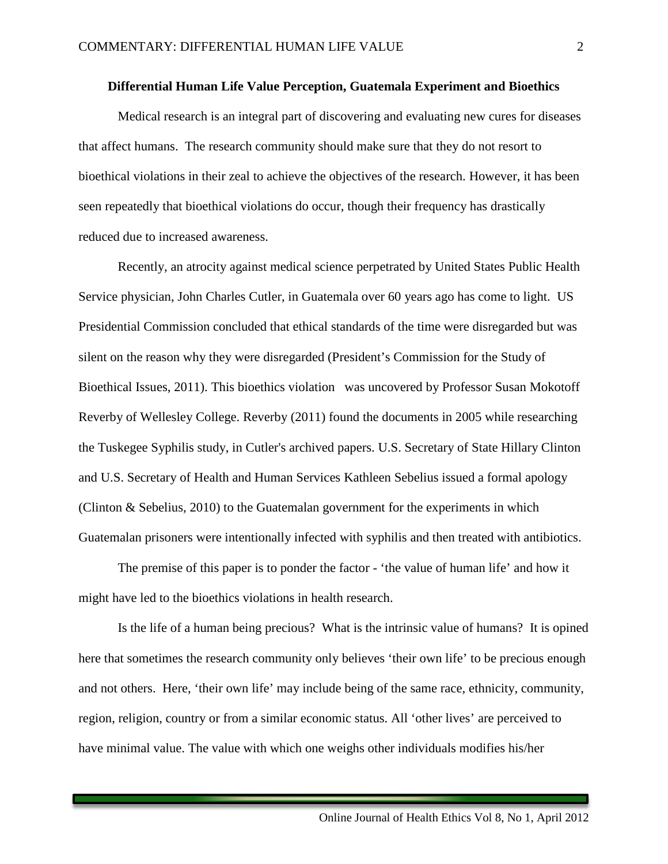### **Differential Human Life Value Perception, Guatemala Experiment and Bioethics**

Medical research is an integral part of discovering and evaluating new cures for diseases that affect humans. The research community should make sure that they do not resort to bioethical violations in their zeal to achieve the objectives of the research. However, it has been seen repeatedly that bioethical violations do occur, though their frequency has drastically reduced due to increased awareness.

Recently, an atrocity against medical science perpetrated by United States Public Health Service physician, John Charles Cutler, in Guatemala over 60 years ago has come to light. US Presidential Commission concluded that ethical standards of the time were disregarded but was silent on the reason why they were disregarded (President's Commission for the Study of Bioethical Issues, 2011). This bioethics violation was uncovered by Professor Susan Mokotoff Reverby of Wellesley College. Reverby (2011) found the documents in 2005 while researching the Tuskegee Syphilis study, in Cutler's archived papers. U.S. Secretary of State Hillary Clinton and U.S. Secretary of Health and Human Services Kathleen Sebelius issued a formal apology (Clinton & Sebelius, 2010) to the Guatemalan government for the experiments in which Guatemalan prisoners were intentionally infected with syphilis and then treated with antibiotics.

The premise of this paper is to ponder the factor - 'the value of human life' and how it might have led to the bioethics violations in health research.

Is the life of a human being precious? What is the intrinsic value of humans? It is opined here that sometimes the research community only believes 'their own life' to be precious enough and not others. Here, 'their own life' may include being of the same race, ethnicity, community, region, religion, country or from a similar economic status. All 'other lives' are perceived to have minimal value. The value with which one weighs other individuals modifies his/her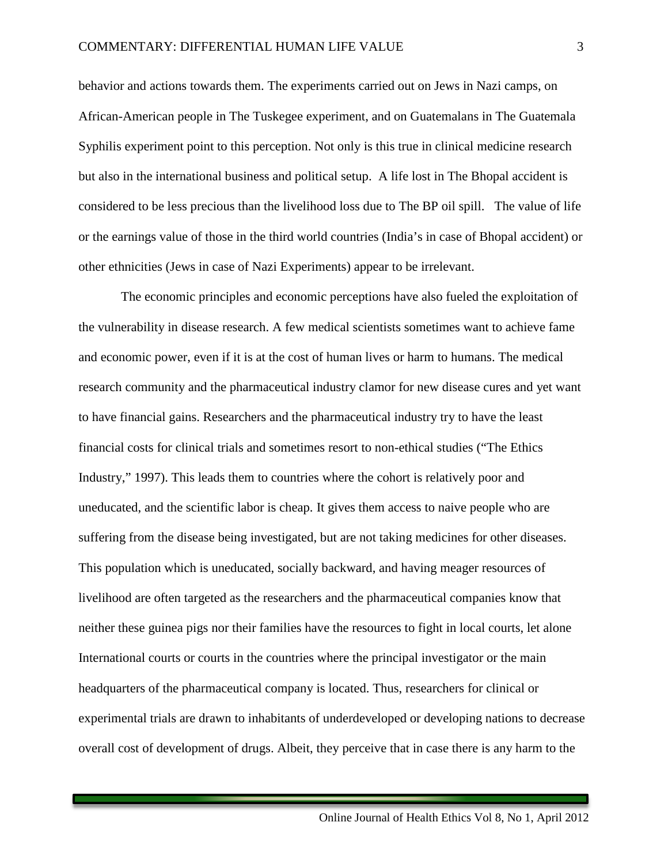behavior and actions towards them. The experiments carried out on Jews in Nazi camps, on African-American people in The Tuskegee experiment, and on Guatemalans in The Guatemala Syphilis experiment point to this perception. Not only is this true in clinical medicine research but also in the international business and political setup. A life lost in The Bhopal accident is considered to be less precious than the livelihood loss due to The BP oil spill. The value of life or the earnings value of those in the third world countries (India's in case of Bhopal accident) or other ethnicities (Jews in case of Nazi Experiments) appear to be irrelevant.

The economic principles and economic perceptions have also fueled the exploitation of the vulnerability in disease research. A few medical scientists sometimes want to achieve fame and economic power, even if it is at the cost of human lives or harm to humans. The medical research community and the pharmaceutical industry clamor for new disease cures and yet want to have financial gains. Researchers and the pharmaceutical industry try to have the least financial costs for clinical trials and sometimes resort to non-ethical studies ("The Ethics Industry," 1997). This leads them to countries where the cohort is relatively poor and uneducated, and the scientific labor is cheap. It gives them access to naive people who are suffering from the disease being investigated, but are not taking medicines for other diseases. This population which is uneducated, socially backward, and having meager resources of livelihood are often targeted as the researchers and the pharmaceutical companies know that neither these guinea pigs nor their families have the resources to fight in local courts, let alone International courts or courts in the countries where the principal investigator or the main headquarters of the pharmaceutical company is located. Thus, researchers for clinical or experimental trials are drawn to inhabitants of underdeveloped or developing nations to decrease overall cost of development of drugs. Albeit, they perceive that in case there is any harm to the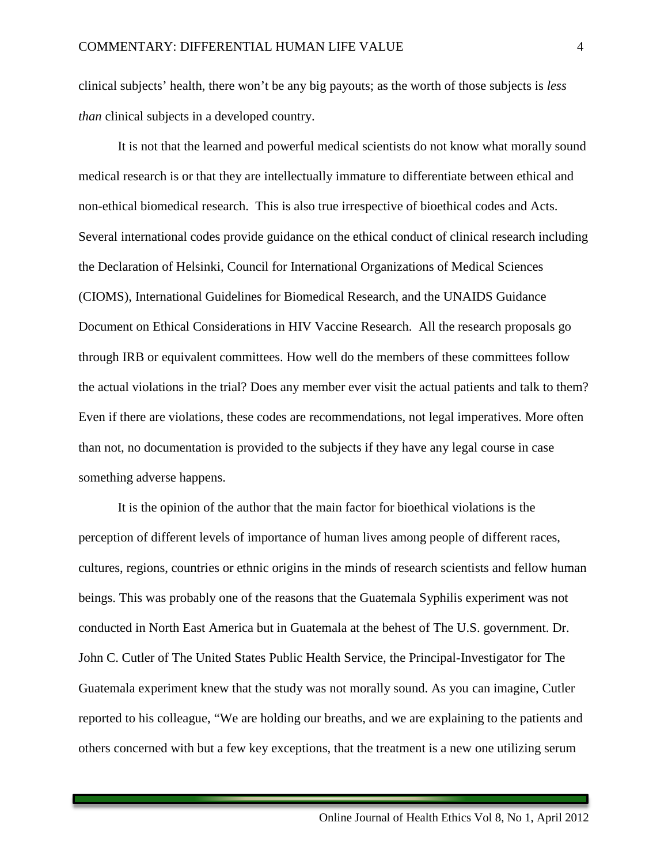clinical subjects' health, there won't be any big payouts; as the worth of those subjects is *less than* clinical subjects in a developed country.

It is not that the learned and powerful medical scientists do not know what morally sound medical research is or that they are intellectually immature to differentiate between ethical and non-ethical biomedical research. This is also true irrespective of bioethical codes and Acts. Several international codes provide guidance on the ethical conduct of clinical research including the Declaration of Helsinki, Council for International Organizations of Medical Sciences (CIOMS), International Guidelines for Biomedical Research, and the UNAIDS Guidance Document on Ethical Considerations in HIV Vaccine Research. All the research proposals go through IRB or equivalent committees. How well do the members of these committees follow the actual violations in the trial? Does any member ever visit the actual patients and talk to them? Even if there are violations, these codes are recommendations, not legal imperatives. More often than not, no documentation is provided to the subjects if they have any legal course in case something adverse happens.

It is the opinion of the author that the main factor for bioethical violations is the perception of different levels of importance of human lives among people of different races, cultures, regions, countries or ethnic origins in the minds of research scientists and fellow human beings. This was probably one of the reasons that the Guatemala Syphilis experiment was not conducted in North East America but in Guatemala at the behest of The U.S. government. Dr. John C. Cutler of The United States Public Health Service, the Principal-Investigator for The Guatemala experiment knew that the study was not morally sound. As you can imagine, Cutler reported to his colleague, "We are holding our breaths, and we are explaining to the patients and others concerned with but a few key exceptions, that the treatment is a new one utilizing serum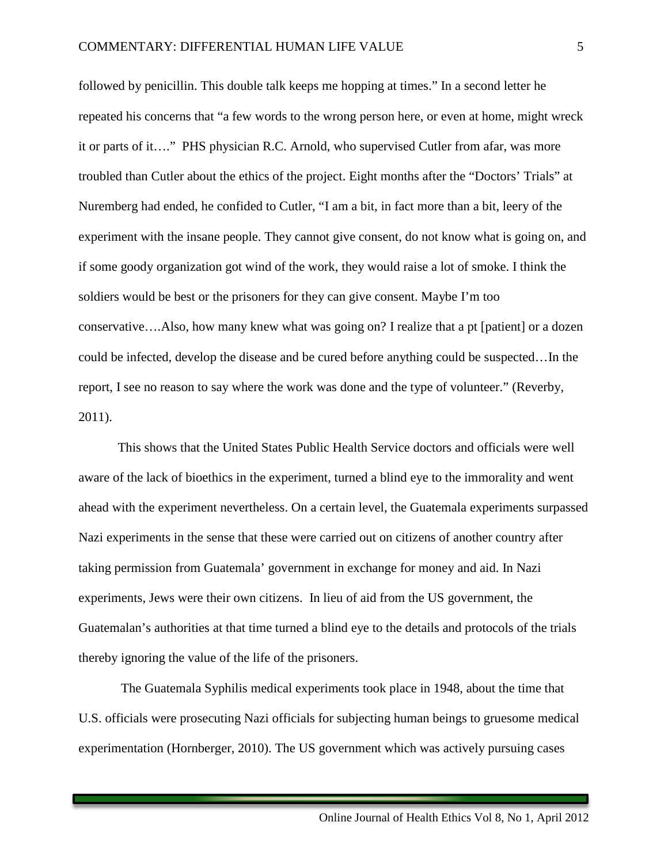followed by penicillin. This double talk keeps me hopping at times." In a second letter he repeated his concerns that "a few words to the wrong person here, or even at home, might wreck it or parts of it…." PHS physician R.C. Arnold, who supervised Cutler from afar, was more troubled than Cutler about the ethics of the project. Eight months after the "Doctors' Trials" at Nuremberg had ended, he confided to Cutler, "I am a bit, in fact more than a bit, leery of the experiment with the insane people. They cannot give consent, do not know what is going on, and if some goody organization got wind of the work, they would raise a lot of smoke. I think the soldiers would be best or the prisoners for they can give consent. Maybe I'm too conservative….Also, how many knew what was going on? I realize that a pt [patient] or a dozen could be infected, develop the disease and be cured before anything could be suspected…In the report, I see no reason to say where the work was done and the type of volunteer." (Reverby, 2011).

This shows that the United States Public Health Service doctors and officials were well aware of the lack of bioethics in the experiment, turned a blind eye to the immorality and went ahead with the experiment nevertheless. On a certain level, the Guatemala experiments surpassed Nazi experiments in the sense that these were carried out on citizens of another country after taking permission from Guatemala' government in exchange for money and aid. In Nazi experiments, Jews were their own citizens. In lieu of aid from the US government, the Guatemalan's authorities at that time turned a blind eye to the details and protocols of the trials thereby ignoring the value of the life of the prisoners.

 The Guatemala Syphilis medical experiments took place in 1948, about the time that U.S. officials were prosecuting Nazi officials for subjecting human beings to gruesome medical experimentation (Hornberger, 2010). The US government which was actively pursuing cases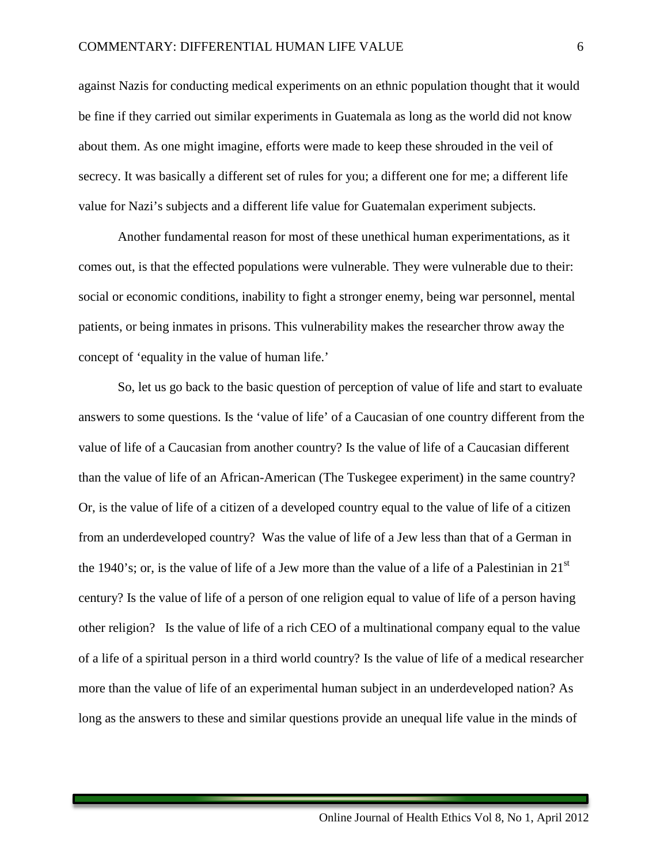against Nazis for conducting medical experiments on an ethnic population thought that it would be fine if they carried out similar experiments in Guatemala as long as the world did not know about them. As one might imagine, efforts were made to keep these shrouded in the veil of secrecy. It was basically a different set of rules for you; a different one for me; a different life value for Nazi's subjects and a different life value for Guatemalan experiment subjects.

 Another fundamental reason for most of these unethical human experimentations, as it comes out, is that the effected populations were vulnerable. They were vulnerable due to their: social or economic conditions, inability to fight a stronger enemy, being war personnel, mental patients, or being inmates in prisons. This vulnerability makes the researcher throw away the concept of 'equality in the value of human life.'

 So, let us go back to the basic question of perception of value of life and start to evaluate answers to some questions. Is the 'value of life' of a Caucasian of one country different from the value of life of a Caucasian from another country? Is the value of life of a Caucasian different than the value of life of an African-American (The Tuskegee experiment) in the same country? Or, is the value of life of a citizen of a developed country equal to the value of life of a citizen from an underdeveloped country? Was the value of life of a Jew less than that of a German in the 1940's; or, is the value of life of a Jew more than the value of a life of a Palestinian in  $21<sup>st</sup>$ century? Is the value of life of a person of one religion equal to value of life of a person having other religion? Is the value of life of a rich CEO of a multinational company equal to the value of a life of a spiritual person in a third world country? Is the value of life of a medical researcher more than the value of life of an experimental human subject in an underdeveloped nation? As long as the answers to these and similar questions provide an unequal life value in the minds of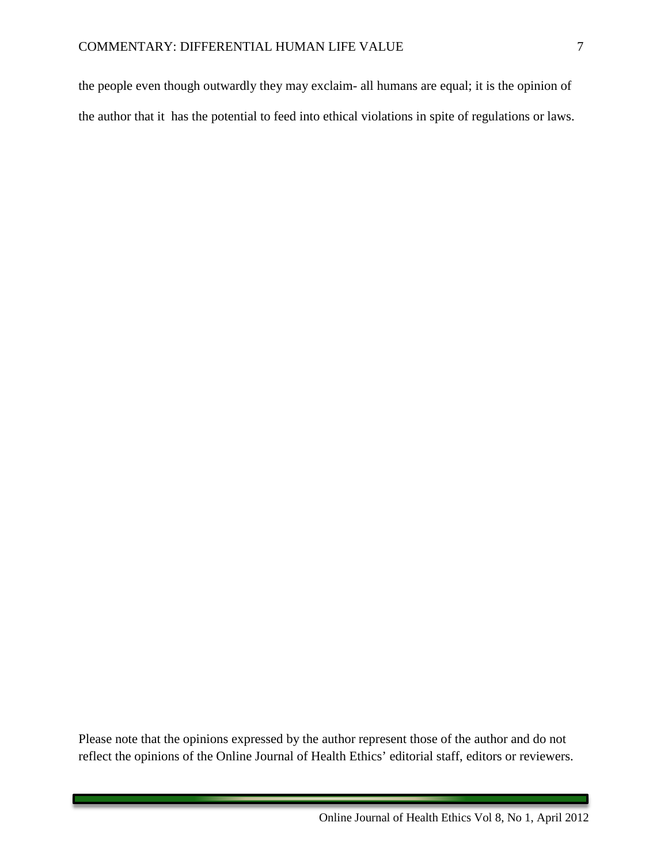the people even though outwardly they may exclaim- all humans are equal; it is the opinion of the author that it has the potential to feed into ethical violations in spite of regulations or laws.

Please note that the opinions expressed by the author represent those of the author and do not reflect the opinions of the Online Journal of Health Ethics' editorial staff, editors or reviewers.